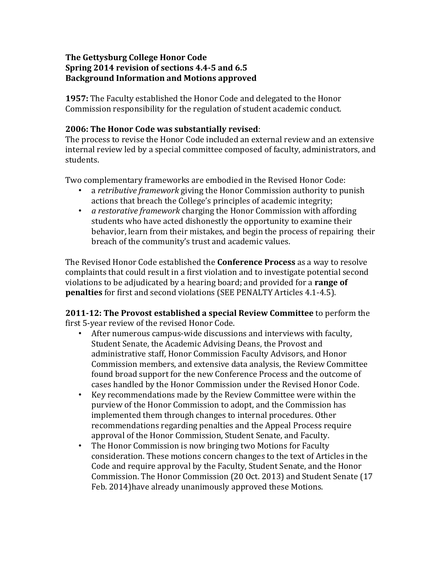#### **The Gettysburg College Honor Code Spring 2014 revision of sections 4.4-5 and 6.5 Background Information and Motions approved**

**1957:** The Faculty established the Honor Code and delegated to the Honor Commission responsibility for the regulation of student academic conduct.

### **2006: The Honor Code was substantially revised**:

The process to revise the Honor Code included an external review and an extensive internal review led by a special committee composed of faculty, administrators, and students.

Two complementary frameworks are embodied in the Revised Honor Code:

- a *retributive framework* giving the Honor Commission authority to punish actions that breach the College's principles of academic integrity;
- *a restorative framework* charging the Honor Commission with affording students who have acted dishonestly the opportunity to examine their behavior, learn from their mistakes, and begin the process of repairing their breach of the community's trust and academic values.

The Revised Honor Code established the **Conference Process** as a way to resolve complaints that could result in a first violation and to investigate potential second violations to be adjudicated by a hearing board; and provided for a **range of penalties** for first and second violations (SEE PENALTY Articles 4.1-4.5).

**2011-12: The Provost established a special Review Committee** to perform the first 5-year review of the revised Honor Code.

- After numerous campus-wide discussions and interviews with faculty, Student Senate, the Academic Advising Deans, the Provost and administrative staff, Honor Commission Faculty Advisors, and Honor Commission members, and extensive data analysis, the Review Committee found broad support for the new Conference Process and the outcome of cases handled by the Honor Commission under the Revised Honor Code.
- Key recommendations made by the Review Committee were within the purview of the Honor Commission to adopt, and the Commission has implemented them through changes to internal procedures. Other recommendations regarding penalties and the Appeal Process require approval of the Honor Commission, Student Senate, and Faculty.
- The Honor Commission is now bringing two Motions for Faculty consideration. These motions concern changes to the text of Articles in the Code and require approval by the Faculty, Student Senate, and the Honor Commission. The Honor Commission (20 Oct. 2013) and Student Senate (17 Feb. 2014)have already unanimously approved these Motions.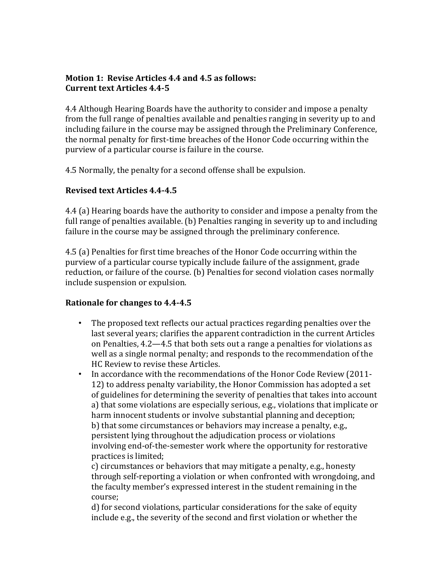### **Motion 1: Revise Articles 4.4 and 4.5 as follows: Current text Articles 4.4-5**

4.4 Although Hearing Boards have the authority to consider and impose a penalty from the full range of penalties available and penalties ranging in severity up to and including failure in the course may be assigned through the Preliminary Conference, the normal penalty for first-time breaches of the Honor Code occurring within the purview of a particular course is failure in the course.

4.5 Normally, the penalty for a second offense shall be expulsion.

# **Revised text Articles 4.4-4.5**

4.4 (a) Hearing boards have the authority to consider and impose a penalty from the full range of penalties available. (b) Penalties ranging in severity up to and including failure in the course may be assigned through the preliminary conference.

4.5 (a) Penalties for first time breaches of the Honor Code occurring within the purview of a particular course typically include failure of the assignment, grade reduction, or failure of the course. (b) Penalties for second violation cases normally include suspension or expulsion.

# **Rationale for changes to 4.4-4.5**

- The proposed text reflects our actual practices regarding penalties over the last several years; clarifies the apparent contradiction in the current Articles on Penalties, 4.2—4.5 that both sets out a range a penalties for violations as well as a single normal penalty; and responds to the recommendation of the HC Review to revise these Articles.
- In accordance with the recommendations of the Honor Code Review (2011-12) to address penalty variability, the Honor Commission has adopted a set of guidelines for determining the severity of penalties that takes into account a) that some violations are especially serious, e.g., violations that implicate or harm innocent students or involve substantial planning and deception; b) that some circumstances or behaviors may increase a penalty, e.g., persistent lying throughout the adjudication process or violations involving end-of-the-semester work where the opportunity for restorative practices is limited;

c) circumstances or behaviors that may mitigate a penalty, e.g., honesty through self-reporting a violation or when confronted with wrongdoing, and the faculty member's expressed interest in the student remaining in the course;

d) for second violations, particular considerations for the sake of equity include e.g., the severity of the second and first violation or whether the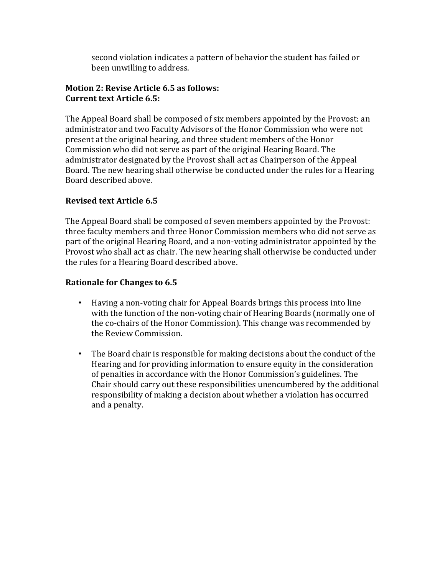second violation indicates a pattern of behavior the student has failed or been unwilling to address.

### **Motion 2: Revise Article 6.5 as follows: Current text Article 6.5:**

The Appeal Board shall be composed of six members appointed by the Provost: an administrator and two Faculty Advisors of the Honor Commission who were not present at the original hearing, and three student members of the Honor Commission who did not serve as part of the original Hearing Board. The administrator designated by the Provost shall act as Chairperson of the Appeal Board. The new hearing shall otherwise be conducted under the rules for a Hearing Board described above.

# **Revised text Article 6.5**

The Appeal Board shall be composed of seven members appointed by the Provost: three faculty members and three Honor Commission members who did not serve as part of the original Hearing Board, and a non-voting administrator appointed by the Provost who shall act as chair. The new hearing shall otherwise be conducted under the rules for a Hearing Board described above.

### **Rationale for Changes to 6.5**

- Having a non-voting chair for Appeal Boards brings this process into line with the function of the non-voting chair of Hearing Boards (normally one of the co-chairs of the Honor Commission). This change was recommended by the Review Commission.
- The Board chair is responsible for making decisions about the conduct of the Hearing and for providing information to ensure equity in the consideration of penalties in accordance with the Honor Commission's guidelines. The Chair should carry out these responsibilities unencumbered by the additional responsibility of making a decision about whether a violation has occurred and a penalty.